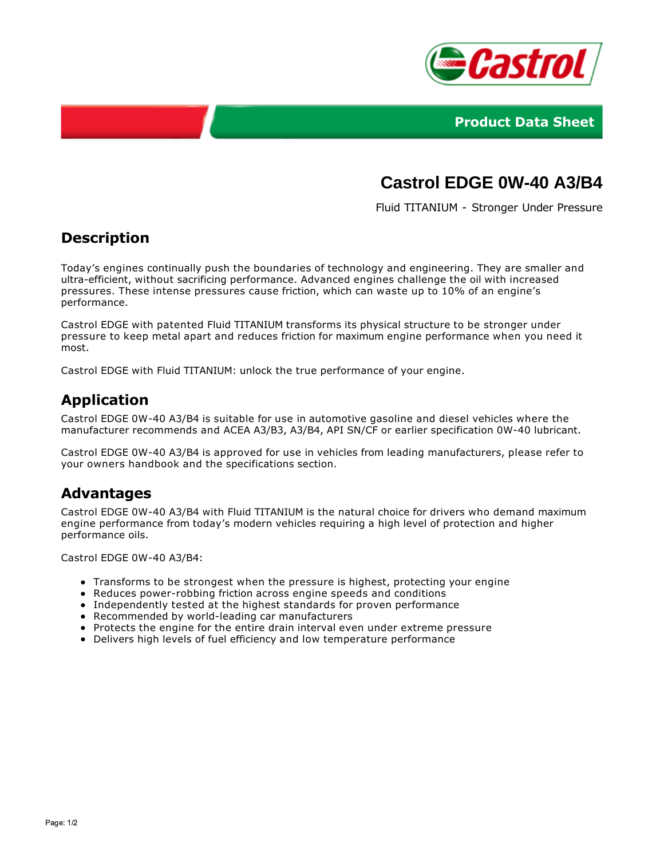



# **Castrol EDGE 0W-40 A3/B4**

Fluid TITANIUM - Stronger Under Pressure

# **Description**

Today's engines continually push the boundaries of technology and engineering. They are smaller and ultra-efficient, without sacrificing performance. Advanced engines challenge the oil with increased pressures. These intense pressures cause friction, which can waste up to 10% of an engine's performance.

Castrol EDGE with patented Fluid TITANIUM transforms its physical structure to be stronger under pressure to keep metal apart and reduces friction for maximum engine performance when you need it most.

Castrol EDGE with Fluid TITANIUM: unlock the true performance of your engine.

# **Application**

Castrol EDGE 0W-40 A3/B4 is suitable for use in automotive gasoline and diesel vehicles where the manufacturer recommends and ACEA A3/B3, A3/B4, API SN/CF or earlier specification 0W-40 lubricant.

Castrol EDGE 0W-40 A3/B4 is approved for use in vehicles from leading manufacturers, please refer to your owners handbook and the specifications section.

### **Advantages**

Castrol EDGE 0W-40 A3/B4 with Fluid TITANIUM is the natural choice for drivers who demand maximum engine performance from today's modern vehicles requiring a high level of protection and higher performance oils.

Castrol EDGE 0W-40 A3/B4:

- Transforms to be strongest when the pressure is highest, protecting your engine
- Reduces power-robbing friction across engine speeds and conditions
- Independently tested at the highest standards for proven performance
- Recommended by world-leading car manufacturers
- Protects the engine for the entire drain interval even under extreme pressure
- Delivers high levels of fuel efficiency and low temperature performance